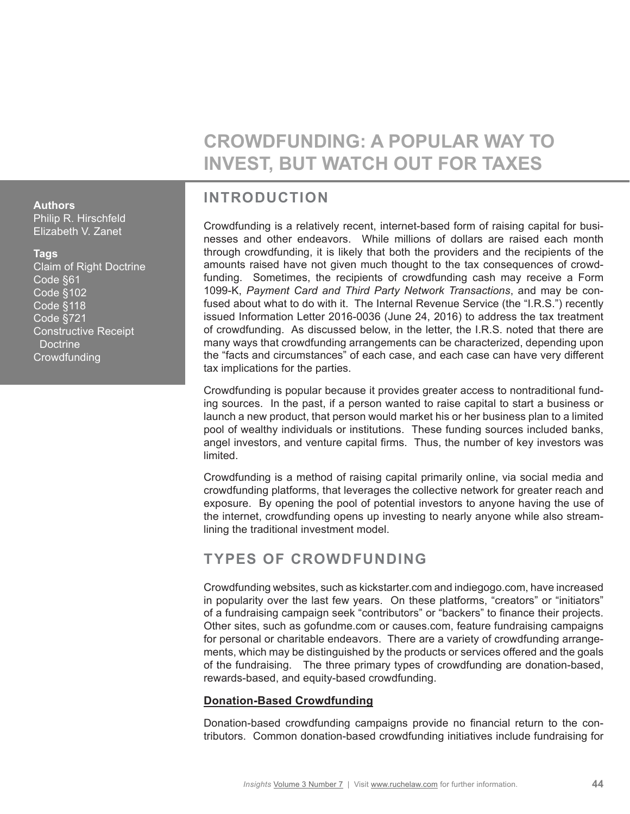# **CROWDFUNDING: A POPULAR WAY TO INVEST, BUT WATCH OUT FOR TAXES**

# **INTRODUCTION**

Crowdfunding is a relatively recent, internet-based form of raising capital for businesses and other endeavors. While millions of dollars are raised each month through crowdfunding, it is likely that both the providers and the recipients of the amounts raised have not given much thought to the tax consequences of crowdfunding. Sometimes, the recipients of crowdfunding cash may receive a Form 1099-K, *Payment Card and Third Party Network Transactions*, and may be confused about what to do with it. The Internal Revenue Service (the "I.R.S.") recently issued Information Letter 2016-0036 (June 24, 2016) to address the tax treatment of crowdfunding. As discussed below, in the letter, the I.R.S. noted that there are many ways that crowdfunding arrangements can be characterized, depending upon the "facts and circumstances" of each case, and each case can have very different tax implications for the parties.

Crowdfunding is popular because it provides greater access to nontraditional funding sources. In the past, if a person wanted to raise capital to start a business or launch a new product, that person would market his or her business plan to a limited pool of wealthy individuals or institutions. These funding sources included banks, angel investors, and venture capital firms. Thus, the number of key investors was limited.

Crowdfunding is a method of raising capital primarily online, via social media and crowdfunding platforms, that leverages the collective network for greater reach and exposure. By opening the pool of potential investors to anyone having the use of the internet, crowdfunding opens up investing to nearly anyone while also streamlining the traditional investment model.

## **TYPES OF CROWDFUNDING**

Crowdfunding websites, such as kickstarter.com and indiegogo.com, have increased in popularity over the last few years. On these platforms, "creators" or "initiators" of a fundraising campaign seek "contributors" or "backers" to finance their projects. Other sites, such as gofundme.com or causes.com, feature fundraising campaigns for personal or charitable endeavors. There are a variety of crowdfunding arrangements, which may be distinguished by the products or services offered and the goals of the fundraising. The three primary types of crowdfunding are donation-based, rewards-based, and equity-based crowdfunding.

### **Donation-Based Crowdfunding**

Donation-based crowdfunding campaigns provide no financial return to the contributors. Common donation-based crowdfunding initiatives include fundraising for

#### **Authors**

Philip R. Hirschfeld Elizabeth V. Zanet

#### **Tags**

Claim of Right Doctrine Code §61 Code §102 Code §118 Code §721 Constructive Receipt **Doctrine Crowdfunding**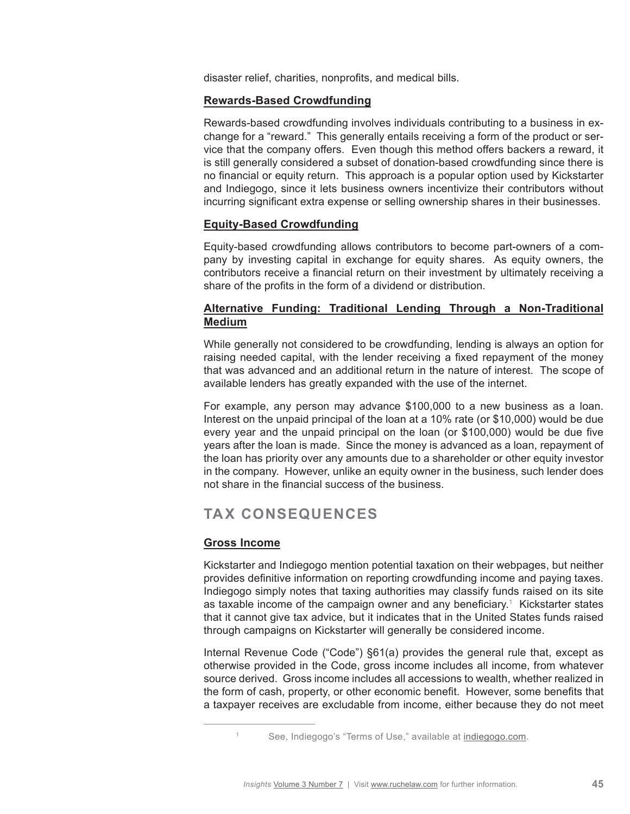disaster relief, charities, nonprofits, and medical bills.

#### **Rewards-Based Crowdfunding**

Rewards-based crowdfunding involves individuals contributing to a business in exchange for a "reward." This generally entails receiving a form of the product or service that the company offers. Even though this method offers backers a reward, it is still generally considered a subset of donation-based crowdfunding since there is no financial or equity return. This approach is a popular option used by Kickstarter and Indiegogo, since it lets business owners incentivize their contributors without incurring significant extra expense or selling ownership shares in their businesses.

#### **Equity-Based Crowdfunding**

Equity-based crowdfunding allows contributors to become part-owners of a company by investing capital in exchange for equity shares. As equity owners, the contributors receive a financial return on their investment by ultimately receiving a share of the profits in the form of a dividend or distribution.

### **Alternative Funding: Traditional Lending Through a Non-Traditional Medium**

While generally not considered to be crowdfunding, lending is always an option for raising needed capital, with the lender receiving a fixed repayment of the money that was advanced and an additional return in the nature of interest. The scope of available lenders has greatly expanded with the use of the internet.

For example, any person may advance \$100,000 to a new business as a loan. Interest on the unpaid principal of the loan at a 10% rate (or \$10,000) would be due every year and the unpaid principal on the loan (or \$100,000) would be due five years after the loan is made. Since the money is advanced as a loan, repayment of the loan has priority over any amounts due to a shareholder or other equity investor in the company. However, unlike an equity owner in the business, such lender does not share in the financial success of the business.

## **TAX CONSEQUENCES**

#### **Gross Income**

Kickstarter and Indiegogo mention potential taxation on their webpages, but neither provides definitive information on reporting crowdfunding income and paying taxes. Indiegogo simply notes that taxing authorities may classify funds raised on its site as taxable income of the campaign owner and any beneficiary.<sup>1</sup> Kickstarter states that it cannot give tax advice, but it indicates that in the United States funds raised through campaigns on Kickstarter will generally be considered income.

Internal Revenue Code ("Code") §61(a) provides the general rule that, except as otherwise provided in the Code, gross income includes all income, from whatever source derived. Gross income includes all accessions to wealth, whether realized in the form of cash, property, or other economic benefit. However, some benefits that a taxpayer receives are excludable from income, either because they do not meet

<sup>1</sup> See, Indiegogo's "Terms of Use," available at [indiegogo.com.](http://indiegogo.com)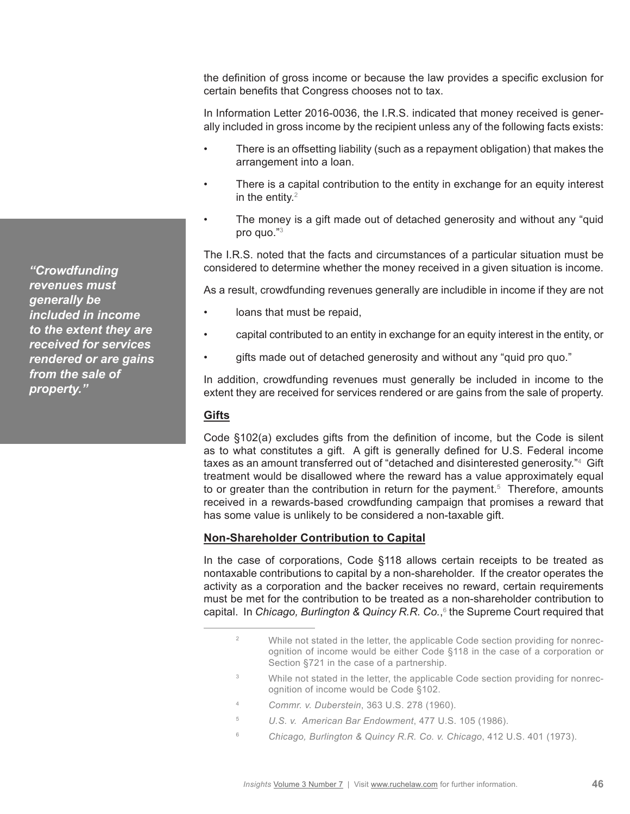the definition of gross income or because the law provides a specific exclusion for certain benefits that Congress chooses not to tax.

In Information Letter 2016-0036, the I.R.S. indicated that money received is generally included in gross income by the recipient unless any of the following facts exists:

- There is an offsetting liability (such as a repayment obligation) that makes the arrangement into a loan.
- There is a capital contribution to the entity in exchange for an equity interest in the entity. $2$
- The money is a gift made out of detached generosity and without any "quid" pro quo."3

The I.R.S. noted that the facts and circumstances of a particular situation must be considered to determine whether the money received in a given situation is income.

As a result, crowdfunding revenues generally are includible in income if they are not

- loans that must be repaid.
- capital contributed to an entity in exchange for an equity interest in the entity, or
- gifts made out of detached generosity and without any "quid pro quo."

In addition, crowdfunding revenues must generally be included in income to the extent they are received for services rendered or are gains from the sale of property.

#### **Gifts**

Code §102(a) excludes gifts from the definition of income, but the Code is silent as to what constitutes a gift. A gift is generally defined for U.S. Federal income taxes as an amount transferred out of "detached and disinterested generosity."4 Gift treatment would be disallowed where the reward has a value approximately equal to or greater than the contribution in return for the payment.<sup>5</sup> Therefore, amounts received in a rewards-based crowdfunding campaign that promises a reward that has some value is unlikely to be considered a non-taxable gift.

#### **Non-Shareholder Contribution to Capital**

In the case of corporations, Code §118 allows certain receipts to be treated as nontaxable contributions to capital by a non-shareholder. If the creator operates the activity as a corporation and the backer receives no reward, certain requirements must be met for the contribution to be treated as a non-shareholder contribution to capital. In *Chicago, Burlington & Quincy R.R. Co.*, 6 the Supreme Court required that

- <sup>3</sup> While not stated in the letter, the applicable Code section providing for nonrecognition of income would be Code §102.
- <sup>4</sup> *Commr. v. Duberstein*, 363 U.S. 278 (1960).
- <sup>5</sup> *U.S. v. American Bar Endowment*, 477 U.S. 105 (1986).
- <sup>6</sup> *Chicago, Burlington & Quincy R.R. Co. v. Chicago*, 412 U.S. 401 (1973).

*"Crowdfunding revenues must generally be included in income to the extent they are received for services rendered or are gains from the sale of property."*

<sup>&</sup>lt;sup>2</sup> While not stated in the letter, the applicable Code section providing for nonrecognition of income would be either Code §118 in the case of a corporation or Section §721 in the case of a partnership.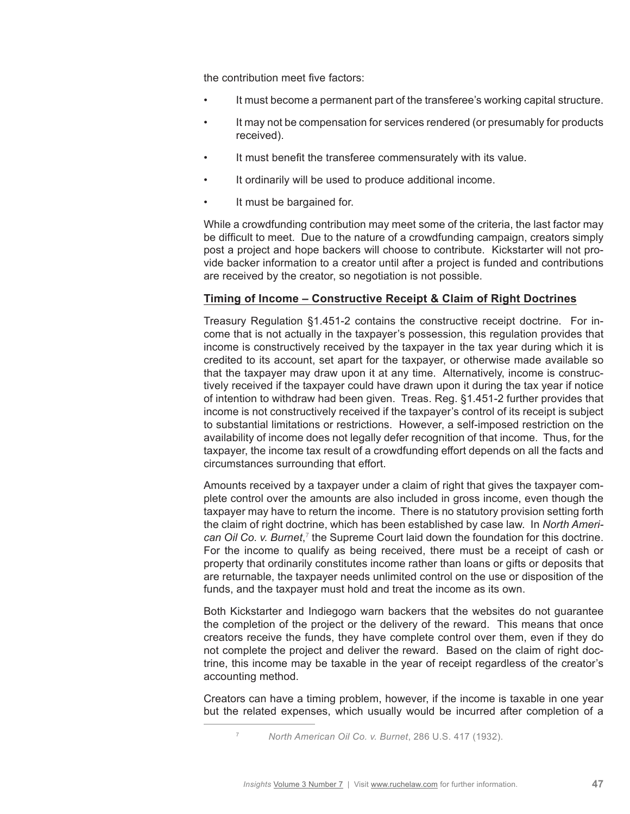the contribution meet five factors:

- It must become a permanent part of the transferee's working capital structure.
- It may not be compensation for services rendered (or presumably for products received).
- It must benefit the transferee commensurately with its value.
- It ordinarily will be used to produce additional income.
- It must be bargained for.

While a crowdfunding contribution may meet some of the criteria, the last factor may be difficult to meet. Due to the nature of a crowdfunding campaign, creators simply post a project and hope backers will choose to contribute. Kickstarter will not provide backer information to a creator until after a project is funded and contributions are received by the creator, so negotiation is not possible.

#### **Timing of Income – Constructive Receipt & Claim of Right Doctrines**

Treasury Regulation §1.451-2 contains the constructive receipt doctrine. For income that is not actually in the taxpayer's possession, this regulation provides that income is constructively received by the taxpayer in the tax year during which it is credited to its account, set apart for the taxpayer, or otherwise made available so that the taxpayer may draw upon it at any time. Alternatively, income is constructively received if the taxpayer could have drawn upon it during the tax year if notice of intention to withdraw had been given. Treas. Reg. §1.451-2 further provides that income is not constructively received if the taxpayer's control of its receipt is subject to substantial limitations or restrictions. However, a self-imposed restriction on the availability of income does not legally defer recognition of that income. Thus, for the taxpayer, the income tax result of a crowdfunding effort depends on all the facts and circumstances surrounding that effort.

Amounts received by a taxpayer under a claim of right that gives the taxpayer complete control over the amounts are also included in gross income, even though the taxpayer may have to return the income. There is no statutory provision setting forth the claim of right doctrine, which has been established by case law. In *North Ameri*can Oil Co. v. Burnet,<sup>7</sup> the Supreme Court laid down the foundation for this doctrine. For the income to qualify as being received, there must be a receipt of cash or property that ordinarily constitutes income rather than loans or gifts or deposits that are returnable, the taxpayer needs unlimited control on the use or disposition of the funds, and the taxpayer must hold and treat the income as its own.

Both Kickstarter and Indiegogo warn backers that the websites do not guarantee the completion of the project or the delivery of the reward. This means that once creators receive the funds, they have complete control over them, even if they do not complete the project and deliver the reward. Based on the claim of right doctrine, this income may be taxable in the year of receipt regardless of the creator's accounting method.

Creators can have a timing problem, however, if the income is taxable in one year but the related expenses, which usually would be incurred after completion of a

<sup>7</sup> *North American Oil Co. v. Burnet*, 286 U.S. 417 (1932).